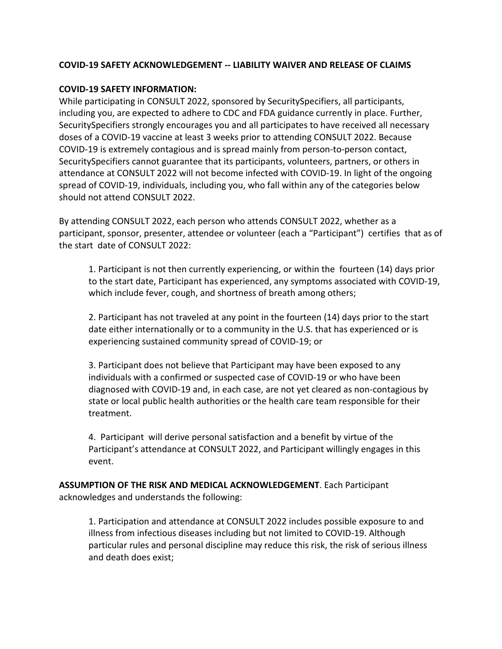## **COVID-19 SAFETY ACKNOWLEDGEMENT -- LIABILITY WAIVER AND RELEASE OF CLAIMS**

## **COVID-19 SAFETY INFORMATION:**

While participating in CONSULT 2022, sponsored by SecuritySpecifiers, all participants, including you, are expected to adhere to CDC and FDA guidance currently in place. Further, SecuritySpecifiers strongly encourages you and all participates to have received all necessary doses of a COVID-19 vaccine at least 3 weeks prior to attending CONSULT 2022. Because COVID-19 is extremely contagious and is spread mainly from person-to-person contact, SecuritySpecifiers cannot guarantee that its participants, volunteers, partners, or others in attendance at CONSULT 2022 will not become infected with COVID-19. In light of the ongoing spread of COVID-19, individuals, including you, who fall within any of the categories below should not attend CONSULT 2022.

By attending CONSULT 2022, each person who attends CONSULT 2022, whether as a participant, sponsor, presenter, attendee or volunteer (each a "Participant") certifies that as of the start date of CONSULT 2022:

1. Participant is not then currently experiencing, or within the fourteen (14) days prior to the start date, Participant has experienced, any symptoms associated with COVID-19, which include fever, cough, and shortness of breath among others;

2. Participant has not traveled at any point in the fourteen (14) days prior to the start date either internationally or to a community in the U.S. that has experienced or is experiencing sustained community spread of COVID-19; or

3. Participant does not believe that Participant may have been exposed to any individuals with a confirmed or suspected case of COVID-19 or who have been diagnosed with COVID-19 and, in each case, are not yet cleared as non-contagious by state or local public health authorities or the health care team responsible for their treatment.

4. Participant will derive personal satisfaction and a benefit by virtue of the Participant's attendance at CONSULT 2022, and Participant willingly engages in this event.

**ASSUMPTION OF THE RISK AND MEDICAL ACKNOWLEDGEMENT**. Each Participant acknowledges and understands the following:

1. Participation and attendance at CONSULT 2022 includes possible exposure to and illness from infectious diseases including but not limited to COVID-19. Although particular rules and personal discipline may reduce this risk, the risk of serious illness and death does exist;